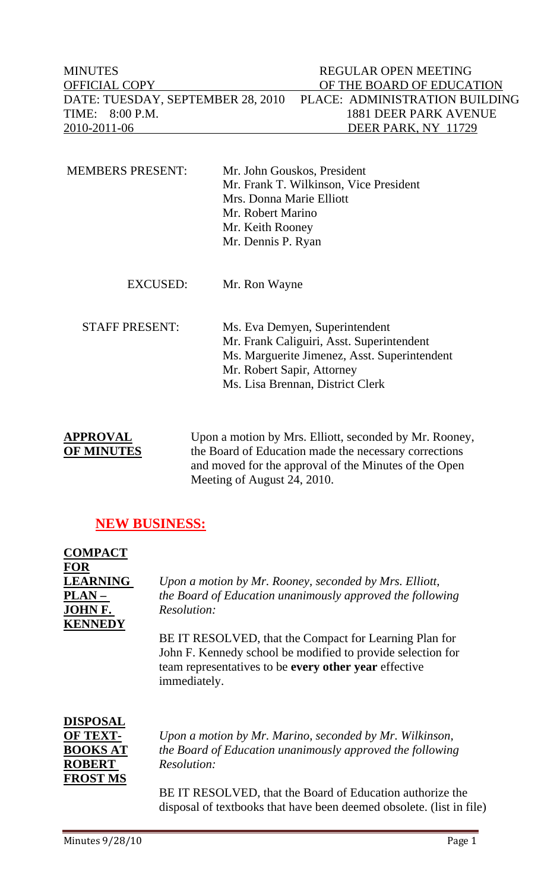| <b>MINUTES</b>                    | REGULAR OPEN MEETING           |
|-----------------------------------|--------------------------------|
| <b>OFFICIAL COPY</b>              | OF THE BOARD OF EDUCATION      |
| DATE: TUESDAY, SEPTEMBER 28, 2010 | PLACE: ADMINISTRATION BUILDING |
| TIME: 8:00 P.M.                   | 1881 DEER PARK AVENUE          |
| 2010-2011-06                      | DEER PARK, NY 11729            |

| <b>MEMBERS PRESENT:</b> | Mr. John Gouskos, President            |
|-------------------------|----------------------------------------|
|                         | Mr. Frank T. Wilkinson, Vice President |
|                         | Mrs. Donna Marie Elliott               |
|                         | Mr. Robert Marino                      |
|                         | Mr. Keith Rooney                       |
|                         | Mr. Dennis P. Ryan                     |
|                         |                                        |

EXCUSED: Mr. Ron Wayne

 STAFF PRESENT: Ms. Eva Demyen, Superintendent Mr. Frank Caliguiri, Asst. Superintendent Ms. Marguerite Jimenez, Asst. Superintendent Mr. Robert Sapir, Attorney Ms. Lisa Brennan, District Clerk

APPROVAL Upon a motion by Mrs. Elliott, seconded by Mr. Rooney, **OF MINUTES** the Board of Education made the necessary corrections and moved for the approval of the Minutes of the Open Meeting of August 24, 2010.

# **NEW BUSINESS:**

| <b>COMPACT</b>  |                                                             |
|-----------------|-------------------------------------------------------------|
| FOR             |                                                             |
| <b>LEARNING</b> | Upon a motion by Mr. Rooney, seconded by Mrs. Elliott,      |
| PLAN –          | the Board of Education unanimously approved the following   |
| JOHN F.         | Resolution:                                                 |
| <b>KENNEDY</b>  |                                                             |
|                 | BE IT RESOLVED, that the Compact for Learning Plan for      |
|                 | John F. Kennedy school be modified to provide selection for |
|                 | team representatives to be every other year effective       |
|                 | immediately.                                                |
|                 |                                                             |
| DISPOSAL        |                                                             |
| <b>OF TEXT-</b> | Upon a motion by Mr. Marino, seconded by Mr. Wilkinson,     |
| <b>BOOKS AT</b> | the Board of Education unanimously approved the following   |
| <b>ROBERT</b>   | Resolution:                                                 |
| <b>FROST MS</b> |                                                             |

BE IT RESOLVED, that the Board of Education authorize the disposal of textbooks that have been deemed obsolete. (list in file)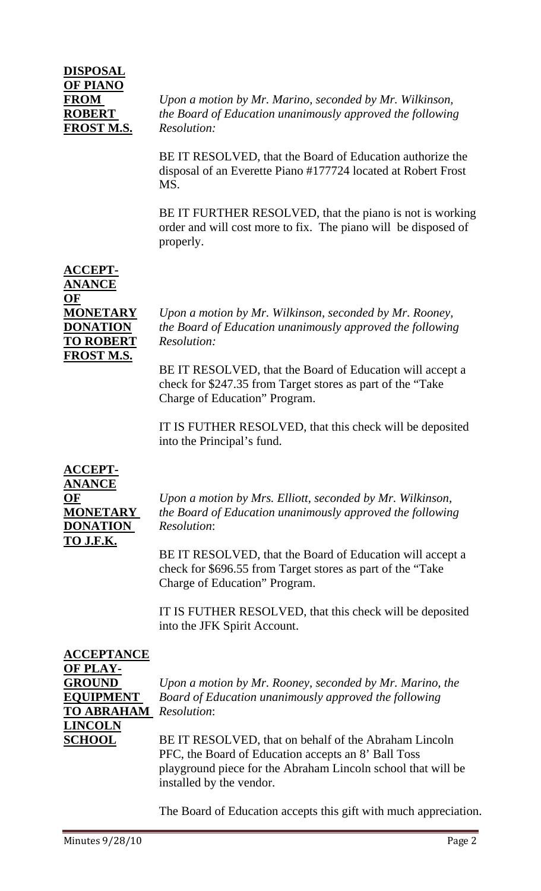# **DISPOSAL OF PIANO FROST M.S.** *Resolution:*

**FROM** *Upon a motion by Mr. Marino, seconded by Mr. Wilkinson,*  **ROBERT** *the Board of Education unanimously approved the following* 

> BE IT RESOLVED, that the Board of Education authorize the disposal of an Everette Piano #177724 located at Robert Frost MS.

BE IT FURTHER RESOLVED, that the piano is not is working order and will cost more to fix. The piano will be disposed of properly.

# **ACCEPT-ANANCE OF TO ROBERT** *Resolution:*  **FROST M.S.**

**MONETARY** *Upon a motion by Mr. Wilkinson, seconded by Mr. Rooney,*  **DONATION** *the Board of Education unanimously approved the following* 

> BE IT RESOLVED, that the Board of Education will accept a check for \$247.35 from Target stores as part of the "Take Charge of Education" Program.

> IT IS FUTHER RESOLVED, that this check will be deposited into the Principal's fund.

**ACCEPT-ANANCE DONATION** *Resolution*: **TO J.F.K.**

**OF** *Upon a motion by Mrs. Elliott, seconded by Mr. Wilkinson,*  **MONETARY** *the Board of Education unanimously approved the following* 

> BE IT RESOLVED, that the Board of Education will accept a check for \$696.55 from Target stores as part of the "Take Charge of Education" Program.

> IT IS FUTHER RESOLVED, that this check will be deposited into the JFK Spirit Account.

| <b>ACCEPTANCE</b> |                                                                                                                                                                                                          |
|-------------------|----------------------------------------------------------------------------------------------------------------------------------------------------------------------------------------------------------|
| OF PLAY-          |                                                                                                                                                                                                          |
| <b>GROUND</b>     | Upon a motion by Mr. Rooney, seconded by Mr. Marino, the                                                                                                                                                 |
| <b>EQUIPMENT</b>  | Board of Education unanimously approved the following                                                                                                                                                    |
| <b>TO ABRAHAM</b> | <i>Resolution:</i>                                                                                                                                                                                       |
| <b>LINCOLN</b>    |                                                                                                                                                                                                          |
| <b>SCHOOL</b>     | BE IT RESOLVED, that on behalf of the Abraham Lincoln<br>PFC, the Board of Education accepts an 8' Ball Toss<br>playground piece for the Abraham Lincoln school that will be<br>installed by the vendor. |
|                   |                                                                                                                                                                                                          |

The Board of Education accepts this gift with much appreciation.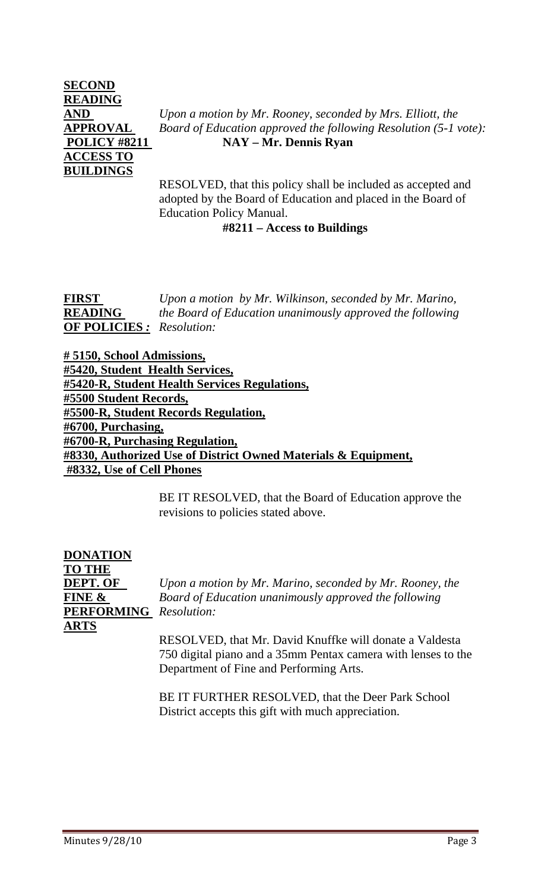# **SECOND READING ACCESS TO BUILDINGS**

**AND** *Upon a motion by Mr. Rooney, seconded by Mrs. Elliott, the*  **APPROVAL** *Board of Education approved the following Resolution (5-1 vote):*   **POLICY #8211** NAY – Mr. Dennis Ryan

> RESOLVED, that this policy shall be included as accepted and adopted by the Board of Education and placed in the Board of Education Policy Manual.

# **#8211 – Access to Buildings**

**FIRST** *Upon a motion by Mr. Wilkinson, seconded by Mr. Marino,*  **READING** *the Board of Education unanimously approved the following*  **OF POLICIES** *: Resolution:* 

**# 5150, School Admissions, #5420, Student Health Services, #5420-R, Student Health Services Regulations, #5500 Student Records, #5500-R, Student Records Regulation, #6700, Purchasing, #6700-R, Purchasing Regulation, #8330, Authorized Use of District Owned Materials & Equipment, #8332, Use of Cell Phones**

> BE IT RESOLVED, that the Board of Education approve the revisions to policies stated above.

| DONATION          |                                                               |
|-------------------|---------------------------------------------------------------|
| <b>TO THE</b>     |                                                               |
| <b>DEPT. OF</b>   | Upon a motion by Mr. Marino, seconded by Mr. Rooney, the      |
| FINE &            | Board of Education unanimously approved the following         |
| <b>PERFORMING</b> | Resolution:                                                   |
| ARTS              |                                                               |
|                   | RESOLVED, that Mr. David Knuffke will donate a Valdesta       |
|                   | 750 digital piano and a 35mm Pentax camera with lenses to the |
|                   | Department of Fine and Performing Arts.                       |

BE IT FURTHER RESOLVED, that the Deer Park School District accepts this gift with much appreciation.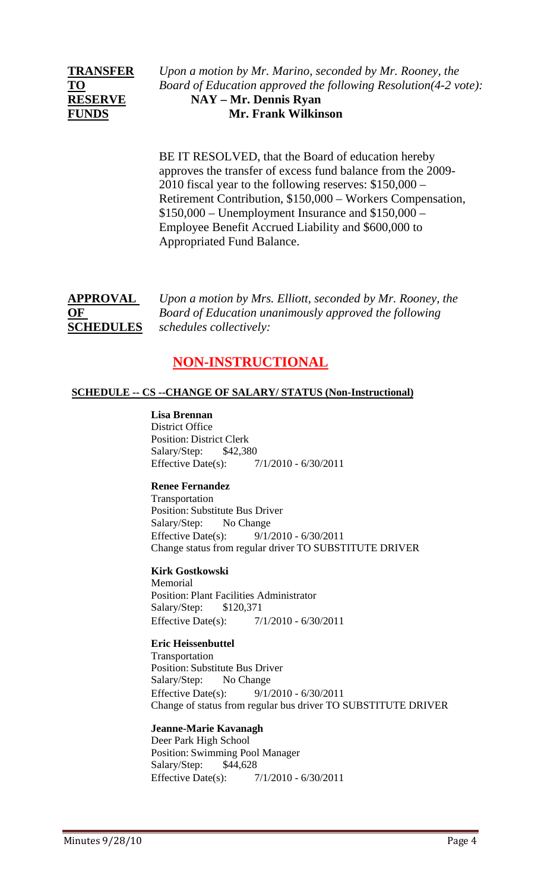**TRANSFER** *Upon a motion by Mr. Marino, seconded by Mr. Rooney, the*  **TO** *Board of Education approved the following Resolution(4-2 vote):*  **RESERVE NAY – Mr. Dennis Ryan FUNDS Mr. Frank Wilkinson** 

> BE IT RESOLVED, that the Board of education hereby approves the transfer of excess fund balance from the 2009- 2010 fiscal year to the following reserves: \$150,000 – Retirement Contribution, \$150,000 – Workers Compensation, \$150,000 – Unemployment Insurance and \$150,000 – Employee Benefit Accrued Liability and \$600,000 to Appropriated Fund Balance.

**APPROVAL** *Upon a motion by Mrs. Elliott, seconded by Mr. Rooney, the*  **OF** *Board of Education unanimously approved the following*  **SCHEDULES** *schedules collectively:* 

# **NON-INSTRUCTIONAL**

#### **SCHEDULE -- CS --CHANGE OF SALARY/ STATUS (Non-Instructional)**

**Lisa Brennan** District Office Position: District Clerk Salary/Step: \$42,380 Effective Date(s): 7/1/2010 - 6/30/2011

#### **Renee Fernandez**

Transportation Position: Substitute Bus Driver Salary/Step: No Change Effective Date(s): 9/1/2010 - 6/30/2011 Change status from regular driver TO SUBSTITUTE DRIVER

#### **Kirk Gostkowski**

Memorial Position: Plant Facilities Administrator Salary/Step: \$120,371 Effective Date(s): 7/1/2010 - 6/30/2011

#### **Eric Heissenbuttel**

Transportation Position: Substitute Bus Driver Salary/Step: No Change Effective Date(s): 9/1/2010 - 6/30/2011 Change of status from regular bus driver TO SUBSTITUTE DRIVER

#### **Jeanne-Marie Kavanagh**

Deer Park High School Position: Swimming Pool Manager Salary/Step: \$44,628 Effective Date(s): 7/1/2010 - 6/30/2011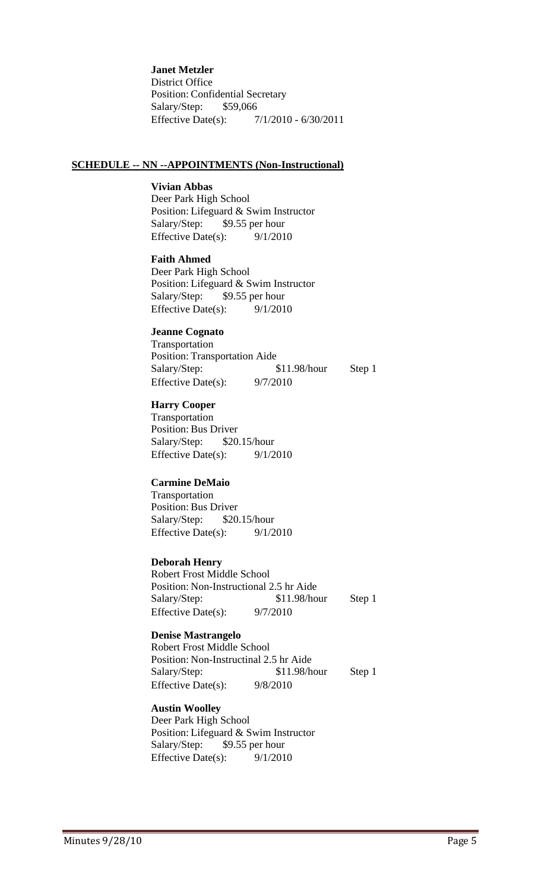**Janet Metzler** District Office Position: Confidential Secretary Salary/Step: \$59,066 Effective Date(s): 7/1/2010 - 6/30/2011

#### **SCHEDULE -- NN --APPOINTMENTS (Non-Instructional)**

#### **Vivian Abbas**

Deer Park High School Position: Lifeguard & Swim Instructor Salary/Step: \$9.55 per hour Effective Date(s): 9/1/2010

### **Faith Ahmed**

Deer Park High School Position: Lifeguard & Swim Instructor Salary/Step: \$9.55 per hour Effective Date(s): 9/1/2010

#### **Jeanne Cognato**

Transportation Position: Transportation Aide Salary/Step: \$11.98/hour Step 1 Effective Date(s): 9/7/2010

# **Harry Cooper**

Transportation Position: Bus Driver Salary/Step: \$20.15/hour Effective Date(s):  $9/1/2010$ 

#### **Carmine DeMaio**

Transportation Position: Bus Driver Salary/Step: \$20.15/hour Effective Date(s):  $9/1/2010$ 

#### **Deborah Henry**

Robert Frost Middle School Position: Non-Instructional 2.5 hr Aide Salary/Step: \$11.98/hour Step 1 Effective Date(s): 9/7/2010

#### **Denise Mastrangelo**

Robert Frost Middle School Position: Non-Instructinal 2.5 hr Aide Salary/Step: \$11.98/hour Step 1 Effective Date(s): 9/8/2010

#### **Austin Woolley**

Deer Park High School Position: Lifeguard & Swim Instructor Salary/Step: \$9.55 per hour Effective Date(s):  $9/1/2010$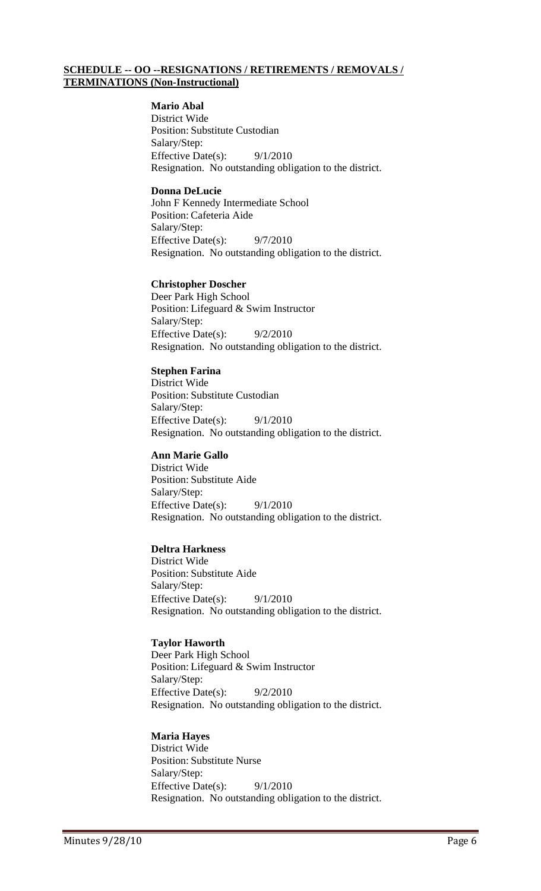#### **SCHEDULE -- OO --RESIGNATIONS / RETIREMENTS / REMOVALS / TERMINATIONS (Non-Instructional)**

#### **Mario Abal**

District Wide Position: Substitute Custodian Salary/Step: Effective Date(s):  $9/1/2010$ Resignation. No outstanding obligation to the district.

#### **Donna DeLucie**

John F Kennedy Intermediate School Position: Cafeteria Aide Salary/Step: Effective Date(s): 9/7/2010 Resignation. No outstanding obligation to the district.

#### **Christopher Doscher**

Deer Park High School Position: Lifeguard & Swim Instructor Salary/Step: Effective Date(s): 9/2/2010 Resignation. No outstanding obligation to the district.

#### **Stephen Farina**

District Wide Position: Substitute Custodian Salary/Step: Effective Date(s): 9/1/2010 Resignation. No outstanding obligation to the district.

#### **Ann Marie Gallo**

District Wide Position: Substitute Aide Salary/Step: Effective Date(s): 9/1/2010 Resignation. No outstanding obligation to the district.

#### **Deltra Harkness**

District Wide Position: Substitute Aide Salary/Step: Effective Date(s): 9/1/2010 Resignation. No outstanding obligation to the district.

#### **Taylor Haworth**

Deer Park High School Position: Lifeguard & Swim Instructor Salary/Step: Effective Date(s):  $9/2/2010$ Resignation. No outstanding obligation to the district.

#### **Maria Hayes**

District Wide Position: Substitute Nurse Salary/Step: Effective Date(s): 9/1/2010 Resignation. No outstanding obligation to the district.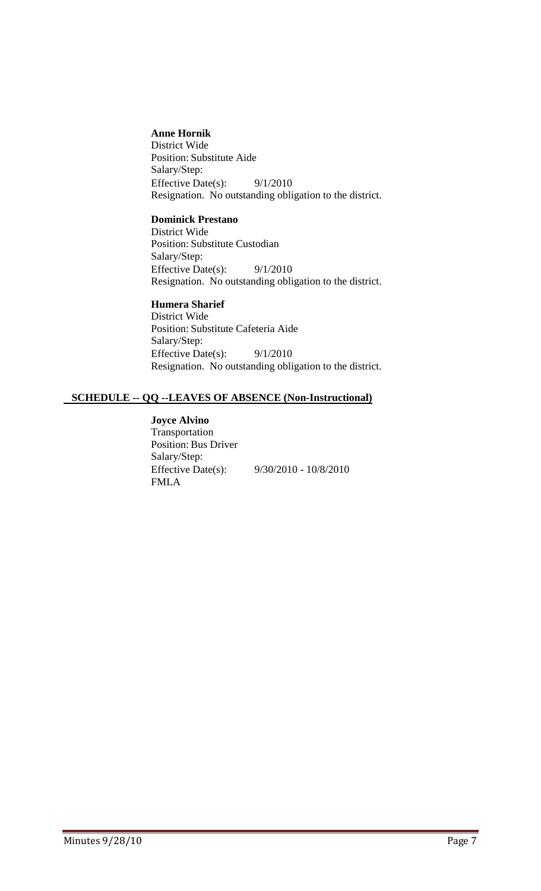#### **Anne Hornik**

District Wide Position: Substitute Aide Salary/Step: Effective Date(s):  $9/1/2010$ Resignation. No outstanding obligation to the district.

# **Dominick Prestano**

District Wide Position: Substitute Custodian Salary/Step: Effective Date(s): 9/1/2010 Resignation. No outstanding obligation to the district.

# **Humera Sharief**

District Wide Position: Substitute Cafeteria Aide Salary/Step: Effective Date(s):  $9/1/2010$ Resignation. No outstanding obligation to the district.

#### **SCHEDULE -- QQ --LEAVES OF ABSENCE (Non-Instructional)**

**Joyce Alvino** Transportation Position: Bus Driver Salary/Step: Effective Date(s): 9/30/2010 - 10/8/2010 FMLA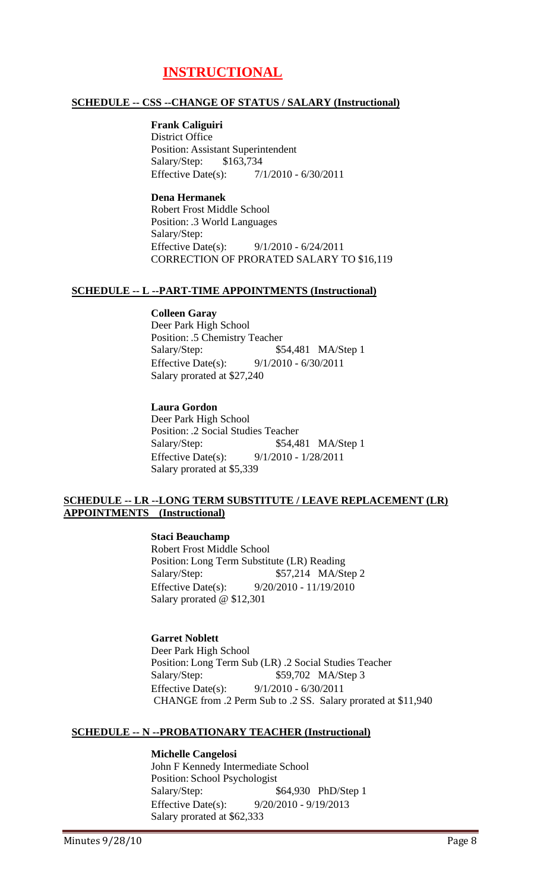# **INSTRUCTIONAL**

#### **SCHEDULE -- CSS --CHANGE OF STATUS / SALARY (Instructional)**

# **Frank Caliguiri**

District Office Position: Assistant Superintendent Salary/Step: \$163,734 Effective Date(s): 7/1/2010 - 6/30/2011

**Dena Hermanek** Robert Frost Middle School Position: .3 World Languages Salary/Step: Effective Date(s): 9/1/2010 - 6/24/2011 CORRECTION OF PRORATED SALARY TO \$16,119

#### **SCHEDULE -- L --PART-TIME APPOINTMENTS (Instructional)**

### **Colleen Garay**

Deer Park High School Position: .5 Chemistry Teacher Salary/Step: \$54,481 MA/Step 1 Effective Date(s): 9/1/2010 - 6/30/2011 Salary prorated at \$27,240

#### **Laura Gordon**

Deer Park High School Position: .2 Social Studies Teacher Salary/Step: \$54,481 MA/Step 1 Effective Date(s): 9/1/2010 - 1/28/2011 Salary prorated at \$5,339

#### **SCHEDULE -- LR --LONG TERM SUBSTITUTE / LEAVE REPLACEMENT (LR) APPOINTMENTS (Instructional)**

#### **Staci Beauchamp**

Robert Frost Middle School Position: Long Term Substitute (LR) Reading Salary/Step: \$57,214 MA/Step 2 Effective Date(s): 9/20/2010 - 11/19/2010 Salary prorated @ \$12,301

#### **Garret Noblett** Deer Park High School Position: Long Term Sub (LR) .2 Social Studies Teacher Salary/Step: \$59,702 MA/Step 3 Effective Date(s): 9/1/2010 - 6/30/2011 CHANGE from .2 Perm Sub to .2 SS. Salary prorated at \$11,940

#### **SCHEDULE -- N --PROBATIONARY TEACHER (Instructional)**

#### **Michelle Cangelosi**

John F Kennedy Intermediate School Position: School Psychologist Salary/Step: \$64,930 PhD/Step 1 Effective Date(s): 9/20/2010 - 9/19/2013 Salary prorated at \$62,333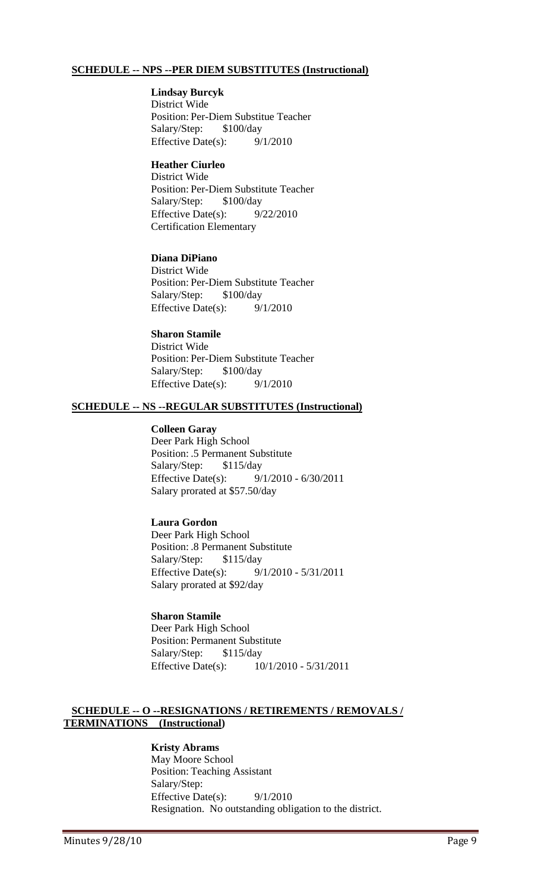#### **SCHEDULE -- NPS --PER DIEM SUBSTITUTES (Instructional)**

#### **Lindsay Burcyk**

District Wide Position: Per-Diem Substitue Teacher Salary/Step: \$100/day Effective Date(s): 9/1/2010

#### **Heather Ciurleo**

District Wide Position: Per-Diem Substitute Teacher Salary/Step: \$100/day Effective Date(s):  $9/22/2010$ Certification Elementary

#### **Diana DiPiano**

District Wide Position: Per-Diem Substitute Teacher Salary/Step: \$100/day Effective Date(s):  $9/1/2010$ 

#### **Sharon Stamile** District Wide Position: Per-Diem Substitute Teacher Salary/Step: \$100/day Effective Date(s): 9/1/2010

#### **SCHEDULE -- NS --REGULAR SUBSTITUTES (Instructional)**

#### **Colleen Garay**

Deer Park High School Position: .5 Permanent Substitute Salary/Step: \$115/day Effective Date(s): 9/1/2010 - 6/30/2011 Salary prorated at \$57.50/day

#### **Laura Gordon**

Deer Park High School Position: .8 Permanent Substitute Salary/Step: \$115/day Effective Date(s): 9/1/2010 - 5/31/2011 Salary prorated at \$92/day

# **Sharon Stamile**

Deer Park High School Position: Permanent Substitute Salary/Step: \$115/day Effective Date(s): 10/1/2010 - 5/31/2011

#### **SCHEDULE -- O --RESIGNATIONS / RETIREMENTS / REMOVALS / TERMINATIONS (Instructional)**

**Kristy Abrams** May Moore School Position: Teaching Assistant Salary/Step: Effective Date(s): 9/1/2010 Resignation. No outstanding obligation to the district.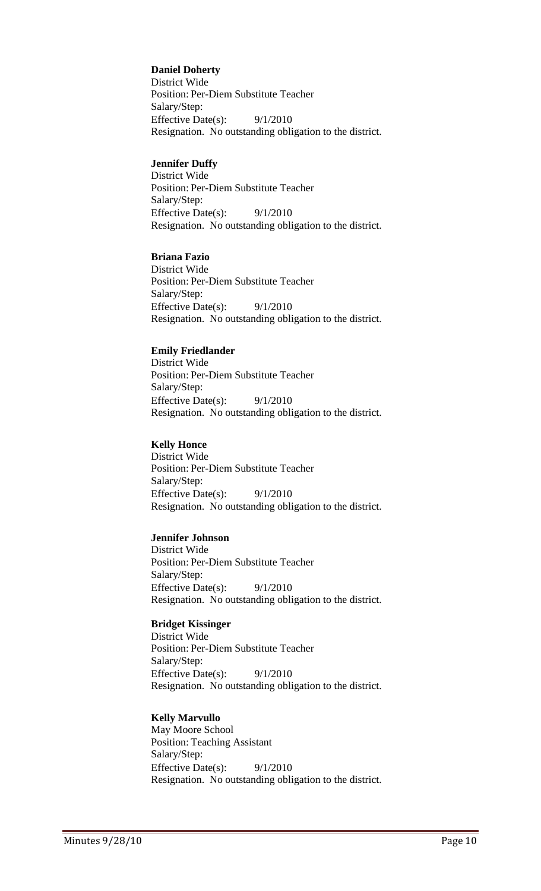#### **Daniel Doherty**

District Wide Position: Per-Diem Substitute Teacher Salary/Step: Effective Date(s): 9/1/2010 Resignation. No outstanding obligation to the district.

#### **Jennifer Duffy**

District Wide Position: Per-Diem Substitute Teacher Salary/Step: Effective Date(s): 9/1/2010 Resignation. No outstanding obligation to the district.

#### **Briana Fazio**

District Wide Position: Per-Diem Substitute Teacher Salary/Step: Effective Date(s): 9/1/2010 Resignation. No outstanding obligation to the district.

#### **Emily Friedlander**

District Wide Position: Per-Diem Substitute Teacher Salary/Step: Effective Date(s):  $9/1/2010$ Resignation. No outstanding obligation to the district.

#### **Kelly Honce**

District Wide Position: Per-Diem Substitute Teacher Salary/Step: Effective Date(s): 9/1/2010 Resignation. No outstanding obligation to the district.

#### **Jennifer Johnson**

District Wide Position: Per-Diem Substitute Teacher Salary/Step: Effective Date(s):  $9/1/2010$ Resignation. No outstanding obligation to the district.

#### **Bridget Kissinger**

District Wide Position: Per-Diem Substitute Teacher Salary/Step: Effective Date(s):  $9/1/2010$ Resignation. No outstanding obligation to the district.

#### **Kelly Marvullo**

May Moore School Position: Teaching Assistant Salary/Step: Effective Date(s): 9/1/2010 Resignation. No outstanding obligation to the district.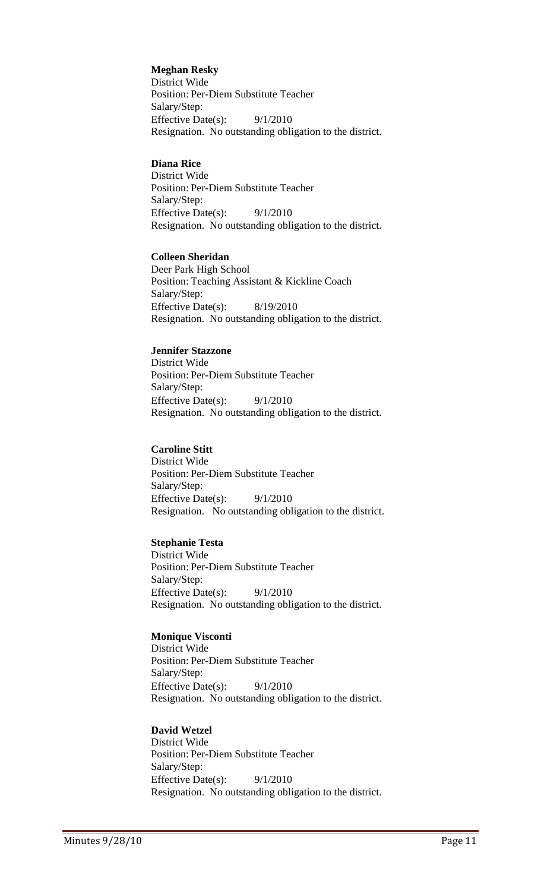**Meghan Resky** District Wide Position: Per-Diem Substitute Teacher Salary/Step: Effective Date(s): 9/1/2010 Resignation. No outstanding obligation to the district.

# **Diana Rice**

District Wide Position: Per-Diem Substitute Teacher Salary/Step: Effective Date(s): 9/1/2010 Resignation. No outstanding obligation to the district.

# **Colleen Sheridan**

Deer Park High School Position: Teaching Assistant & Kickline Coach Salary/Step: Effective Date(s): 8/19/2010 Resignation. No outstanding obligation to the district.

# **Jennifer Stazzone**

District Wide Position: Per-Diem Substitute Teacher Salary/Step: Effective Date(s):  $9/1/2010$ Resignation. No outstanding obligation to the district.

# **Caroline Stitt**

District Wide Position: Per-Diem Substitute Teacher Salary/Step: Effective Date(s): 9/1/2010 Resignation. No outstanding obligation to the district.

# **Stephanie Testa**

District Wide Position: Per-Diem Substitute Teacher Salary/Step: Effective Date(s): 9/1/2010 Resignation. No outstanding obligation to the district.

# **Monique Visconti**

District Wide Position: Per-Diem Substitute Teacher Salary/Step: Effective Date(s):  $9/1/2010$ Resignation. No outstanding obligation to the district.

# **David Wetzel**

District Wide Position: Per-Diem Substitute Teacher Salary/Step: Effective Date(s): 9/1/2010 Resignation. No outstanding obligation to the district.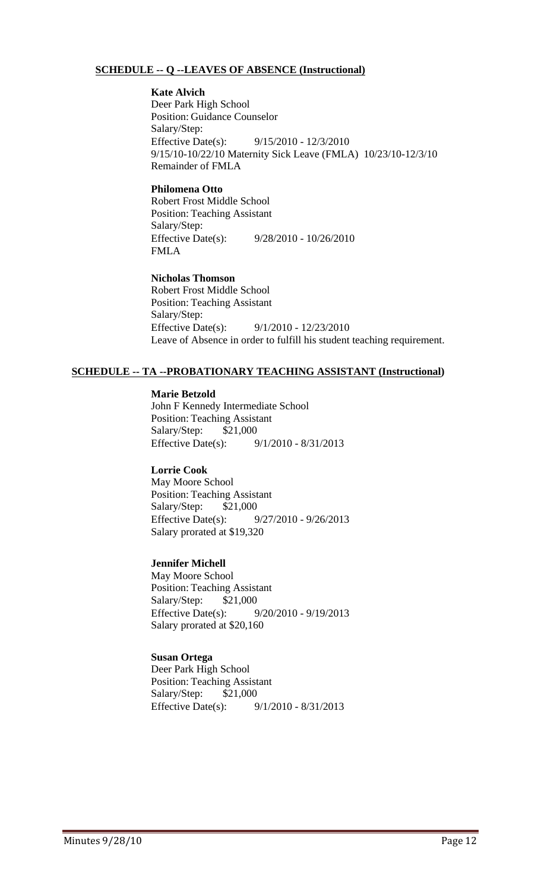#### **SCHEDULE -- Q --LEAVES OF ABSENCE (Instructional)**

**Kate Alvich** Deer Park High School Position: Guidance Counselor Salary/Step: Effective Date(s): 9/15/2010 - 12/3/2010 9/15/10-10/22/10 Maternity Sick Leave (FMLA) 10/23/10-12/3/10 Remainder of FMLA

#### **Philomena Otto**

Robert Frost Middle School Position: Teaching Assistant Salary/Step: Effective Date(s): 9/28/2010 - 10/26/2010 FMLA

**Nicholas Thomson** Robert Frost Middle School Position: Teaching Assistant Salary/Step: Effective Date(s): 9/1/2010 - 12/23/2010 Leave of Absence in order to fulfill his student teaching requirement.

#### **SCHEDULE -- TA --PROBATIONARY TEACHING ASSISTANT (Instructional)**

#### **Marie Betzold**

John F Kennedy Intermediate School Position: Teaching Assistant Salary/Step: \$21,000 Effective Date(s): 9/1/2010 - 8/31/2013

#### **Lorrie Cook**

May Moore School Position: Teaching Assistant Salary/Step: \$21,000 Effective Date(s): 9/27/2010 - 9/26/2013 Salary prorated at \$19,320

#### **Jennifer Michell**

May Moore School Position: Teaching Assistant Salary/Step: \$21,000 Effective Date(s): 9/20/2010 - 9/19/2013 Salary prorated at \$20,160

#### **Susan Ortega**

Deer Park High School Position: Teaching Assistant Salary/Step: \$21,000 Effective Date(s): 9/1/2010 - 8/31/2013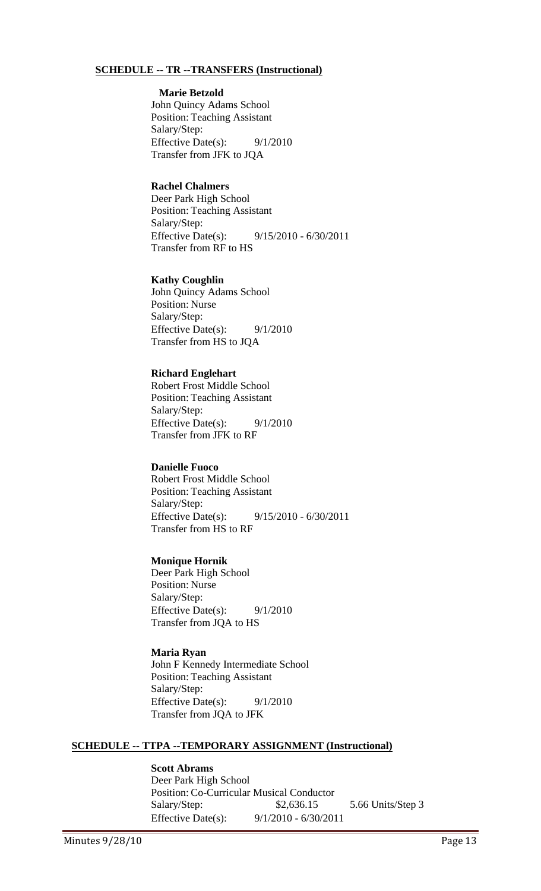#### **SCHEDULE -- TR --TRANSFERS (Instructional)**

#### **Marie Betzold**

John Quincy Adams School Position: Teaching Assistant Salary/Step: Effective Date(s): 9/1/2010 Transfer from JFK to JQA

#### **Rachel Chalmers**

Deer Park High School Position: Teaching Assistant Salary/Step: Effective Date(s): 9/15/2010 - 6/30/2011 Transfer from RF to HS

#### **Kathy Coughlin**

John Quincy Adams School Position: Nurse Salary/Step: Effective Date(s): 9/1/2010 Transfer from HS to JQA

#### **Richard Englehart**

Robert Frost Middle School Position: Teaching Assistant Salary/Step: Effective Date(s):  $9/1/2010$ Transfer from JFK to RF

#### **Danielle Fuoco**

Robert Frost Middle School Position: Teaching Assistant Salary/Step: Effective Date(s): 9/15/2010 - 6/30/2011 Transfer from HS to RF

#### **Monique Hornik**

Deer Park High School Position: Nurse Salary/Step: Effective Date(s):  $9/1/2010$ Transfer from JQA to HS

#### **Maria Ryan** John F Kennedy Intermediate School Position: Teaching Assistant Salary/Step: Effective Date(s): 9/1/2010 Transfer from JQA to JFK

#### **SCHEDULE -- TTPA --TEMPORARY ASSIGNMENT (Instructional)**

#### **Scott Abrams**

Deer Park High School Position: Co-Curricular Musical Conductor Salary/Step: \$2,636.15 5.66 Units/Step 3 Effective Date(s): 9/1/2010 - 6/30/2011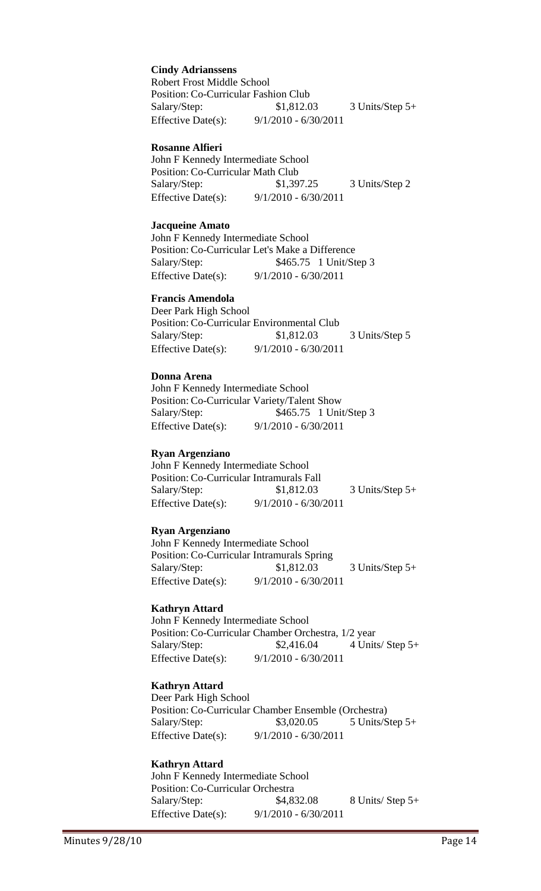**Cindy Adrianssens** Robert Frost Middle School Position: Co-Curricular Fashion Club Salary/Step: \$1,812.03 3 Units/Step 5+ Effective Date(s): 9/1/2010 - 6/30/2011

#### **Rosanne Alfieri**

John F Kennedy Intermediate School Position: Co-Curricular Math Club Salary/Step: \$1,397.25 3 Units/Step 2 Effective Date(s): 9/1/2010 - 6/30/2011

#### **Jacqueine Amato**

John F Kennedy Intermediate School Position: Co-Curricular Let's Make a Difference Salary/Step: \$465.75 1 Unit/Step 3 Effective Date(s): 9/1/2010 - 6/30/2011

# **Francis Amendola**

Deer Park High School Position: Co-Curricular Environmental Club Salary/Step: \$1,812.03 3 Units/Step 5 Effective Date(s): 9/1/2010 - 6/30/2011

#### **Donna Arena**

John F Kennedy Intermediate School Position: Co-Curricular Variety/Talent Show Salary/Step: \$465.75 1 Unit/Step 3 Effective Date(s): 9/1/2010 - 6/30/2011

#### **Ryan Argenziano**

John F Kennedy Intermediate School Position: Co-Curricular Intramurals Fall Salary/Step: \$1,812.03 3 Units/Step 5+ Effective Date(s): 9/1/2010 - 6/30/2011

#### **Ryan Argenziano**

John F Kennedy Intermediate School Position: Co-Curricular Intramurals Spring Salary/Step: \$1,812.03 3 Units/Step 5+ Effective Date(s): 9/1/2010 - 6/30/2011

#### **Kathryn Attard**

John F Kennedy Intermediate School Position: Co-Curricular Chamber Orchestra, 1/2 year Salary/Step: \$2,416.04 4 Units/ Step 5+ Effective Date(s): 9/1/2010 - 6/30/2011

#### **Kathryn Attard**

Deer Park High School Position: Co-Curricular Chamber Ensemble (Orchestra) Salary/Step: \$3,020.05 5 Units/Step 5+ Effective Date(s): 9/1/2010 - 6/30/2011

#### **Kathryn Attard**

John F Kennedy Intermediate School Position: Co-Curricular Orchestra Salary/Step: \$4,832.08 8 Units/ Step 5+ Effective Date(s): 9/1/2010 - 6/30/2011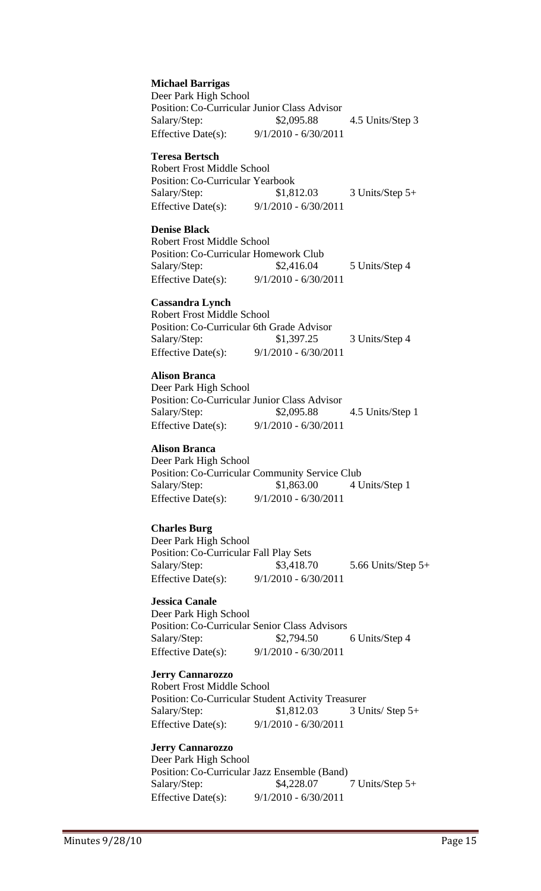**Michael Barrigas** Deer Park High School Position: Co-Curricular Junior Class Advisor

Salary/Step: \$2,095.88 4.5 Units/Step 3 Effective Date(s): 9/1/2010 - 6/30/2011

#### **Teresa Bertsch**

Robert Frost Middle School Position: Co-Curricular Yearbook Salary/Step: \$1,812.03 3 Units/Step 5+ Effective Date(s): 9/1/2010 - 6/30/2011

#### **Denise Black**

Robert Frost Middle School Position: Co-Curricular Homework Club Salary/Step: \$2,416.04 5 Units/Step 4 Effective Date(s): 9/1/2010 - 6/30/2011

#### **Cassandra Lynch**

Robert Frost Middle School Position: Co-Curricular 6th Grade Advisor Salary/Step: \$1,397.25 3 Units/Step 4 Effective Date(s): 9/1/2010 - 6/30/2011

#### **Alison Branca**

Deer Park High School Position: Co-Curricular Junior Class Advisor Salary/Step: \$2,095.88 4.5 Units/Step 1 Effective Date(s): 9/1/2010 - 6/30/2011

#### **Alison Branca**

Deer Park High School Position: Co-Curricular Community Service Club Salary/Step: \$1,863.00 4 Units/Step 1 Effective Date(s): 9/1/2010 - 6/30/2011

#### **Charles Burg**

Deer Park High School Position: Co-Curricular Fall Play Sets Salary/Step: \$3,418.70 5.66 Units/Step 5+ Effective Date(s): 9/1/2010 - 6/30/2011

#### **Jessica Canale**

Deer Park High School Position: Co-Curricular Senior Class Advisors Salary/Step: \$2,794.50 6 Units/Step 4 Effective Date(s): 9/1/2010 - 6/30/2011

**Jerry Cannarozzo** Robert Frost Middle School Position: Co-Curricular Student Activity Treasurer Salary/Step: \$1,812.03 3 Units/ Step 5+ Effective Date(s): 9/1/2010 - 6/30/2011

# **Jerry Cannarozzo**

Deer Park High School Position: Co-Curricular Jazz Ensemble (Band) Salary/Step: \$4,228.07 7 Units/Step 5+ Effective Date(s): 9/1/2010 - 6/30/2011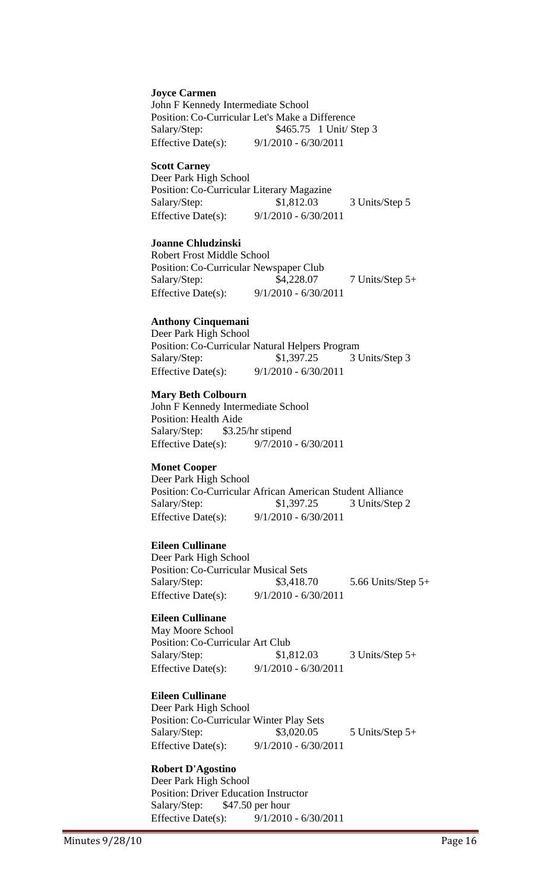#### **Joyce Carmen**

John F Kennedy Intermediate School Position: Co-Curricular Let's Make a Difference Salary/Step: \$465.75 1 Unit/ Step 3 Effective Date(s): 9/1/2010 - 6/30/2011

#### **Scott Carney**

Deer Park High School Position: Co-Curricular Literary Magazine Salary/Step:  $$1,812.03$  3 Units/Step 5 Effective Date(s): 9/1/2010 - 6/30/2011

#### **Joanne Chludzinski**

Robert Frost Middle School Position: Co-Curricular Newspaper Club Salary/Step: \$4,228.07 7 Units/Step 5+ Effective Date(s): 9/1/2010 - 6/30/2011

#### **Anthony Cinquemani**

Deer Park High School Position: Co-Curricular Natural Helpers Program Salary/Step: \$1,397.25 3 Units/Step 3 Effective Date(s): 9/1/2010 - 6/30/2011

#### **Mary Beth Colbourn**

John F Kennedy Intermediate School Position: Health Aide Salary/Step: \$3.25/hr stipend Effective Date(s): 9/7/2010 - 6/30/2011

#### **Monet Cooper**

Deer Park High School Position: Co-Curricular African American Student Alliance Salary/Step: \$1,397.25 3 Units/Step 2 Effective Date(s): 9/1/2010 - 6/30/2011

#### **Eileen Cullinane**

Deer Park High School Position: Co-Curricular Musical Sets Salary/Step: \$3,418.70 5.66 Units/Step 5+ Effective Date(s): 9/1/2010 - 6/30/2011

#### **Eileen Cullinane**

May Moore School Position: Co-Curricular Art Club Salary/Step: \$1,812.03 3 Units/Step 5+ Effective Date(s): 9/1/2010 - 6/30/2011

#### **Eileen Cullinane**

Deer Park High School Position: Co-Curricular Winter Play Sets Salary/Step: \$3,020.05 5 Units/Step 5+ Effective Date(s): 9/1/2010 - 6/30/2011

#### **Robert D'Agostino**

Deer Park High School Position: Driver Education Instructor Salary/Step: \$47.50 per hour Effective Date(s): 9/1/2010 - 6/30/2011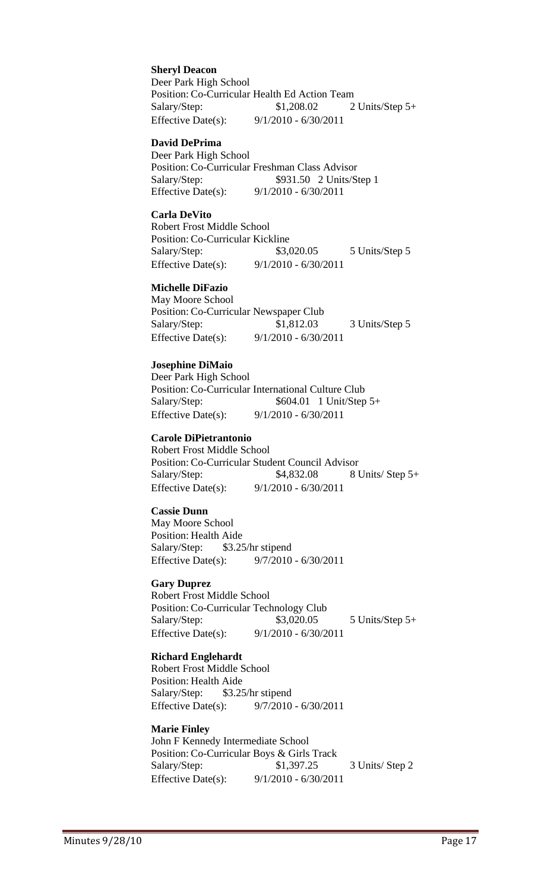**Sheryl Deacon** Deer Park High School Position: Co-Curricular Health Ed Action Team Salary/Step: \$1,208.02 2 Units/Step 5+ Effective Date(s): 9/1/2010 - 6/30/2011

#### **David DePrima**

Deer Park High School Position: Co-Curricular Freshman Class Advisor Salary/Step: \$931.50 2 Units/Step 1 Effective Date(s): 9/1/2010 - 6/30/2011

#### **Carla DeVito**

Robert Frost Middle School Position: Co-Curricular Kickline Salary/Step: \$3,020.05 5 Units/Step 5 Effective Date(s): 9/1/2010 - 6/30/2011

#### **Michelle DiFazio**

May Moore School Position: Co-Curricular Newspaper Club Salary/Step: \$1,812.03 3 Units/Step 5 Effective Date(s): 9/1/2010 - 6/30/2011

#### **Josephine DiMaio**

Deer Park High School Position: Co-Curricular International Culture Club Salary/Step: \$604.01 1 Unit/Step 5+ Effective Date(s): 9/1/2010 - 6/30/2011

#### **Carole DiPietrantonio**

Robert Frost Middle School Position: Co-Curricular Student Council Advisor Salary/Step: \$4,832.08 8 Units/ Step 5+ Effective Date(s): 9/1/2010 - 6/30/2011

#### **Cassie Dunn**

May Moore School Position: Health Aide Salary/Step: \$3.25/hr stipend Effective Date(s): 9/7/2010 - 6/30/2011

#### **Gary Duprez**

Robert Frost Middle School Position: Co-Curricular Technology Club Salary/Step: \$3,020.05 5 Units/Step 5+ Effective Date(s): 9/1/2010 - 6/30/2011

#### **Richard Englehardt**

Robert Frost Middle School Position: Health Aide Salary/Step: \$3.25/hr stipend Effective Date(s): 9/7/2010 - 6/30/2011

#### **Marie Finley**

John F Kennedy Intermediate School Position: Co-Curricular Boys & Girls Track Salary/Step: \$1,397.25 3 Units/ Step 2 Effective Date(s): 9/1/2010 - 6/30/2011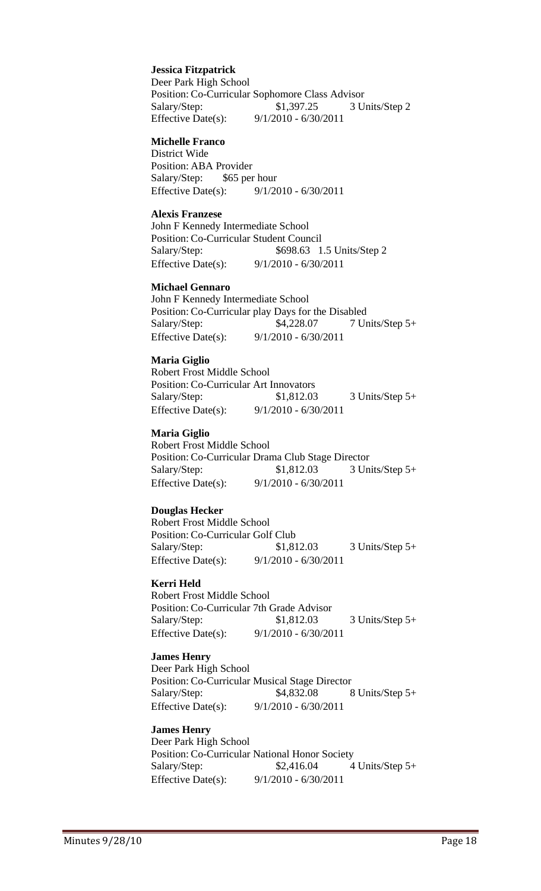#### **Jessica Fitzpatrick**

Deer Park High School Position: Co-Curricular Sophomore Class Advisor Salary/Step: \$1,397.25 3 Units/Step 2 Effective Date(s): 9/1/2010 - 6/30/2011

#### **Michelle Franco**

District Wide Position: ABA Provider Salary/Step: \$65 per hour Effective Date(s): 9/1/2010 - 6/30/2011

#### **Alexis Franzese**

John F Kennedy Intermediate School Position: Co-Curricular Student Council Salary/Step: \$698.63 1.5 Units/Step 2 Effective Date(s): 9/1/2010 - 6/30/2011

#### **Michael Gennaro**

John F Kennedy Intermediate School Position: Co-Curricular play Days for the Disabled Salary/Step: \$4,228.07 7 Units/Step 5+ Effective Date(s): 9/1/2010 - 6/30/2011

#### **Maria Giglio**

Robert Frost Middle School Position: Co-Curricular Art Innovators Salary/Step: \$1,812.03 3 Units/Step 5+ Effective Date(s): 9/1/2010 - 6/30/2011

#### **Maria Giglio**

Robert Frost Middle School Position: Co-Curricular Drama Club Stage Director Salary/Step: \$1,812.03 3 Units/Step 5+ Effective Date(s): 9/1/2010 - 6/30/2011

#### **Douglas Hecker**

Robert Frost Middle School Position: Co-Curricular Golf Club Salary/Step: \$1,812.03 3 Units/Step 5+ Effective Date(s): 9/1/2010 - 6/30/2011

#### **Kerri Held**

Robert Frost Middle School Position: Co-Curricular 7th Grade Advisor Salary/Step: \$1,812.03 3 Units/Step 5+ Effective Date(s): 9/1/2010 - 6/30/2011

#### **James Henry**

Deer Park High School Position: Co-Curricular Musical Stage Director Salary/Step: \$4,832.08 8 Units/Step 5+ Effective Date(s): 9/1/2010 - 6/30/2011

#### **James Henry**

Deer Park High School Position: Co-Curricular National Honor Society  $Salary/Step:$   $$2,416.04$   $4 Units/Step 5+$ Effective Date(s): 9/1/2010 - 6/30/2011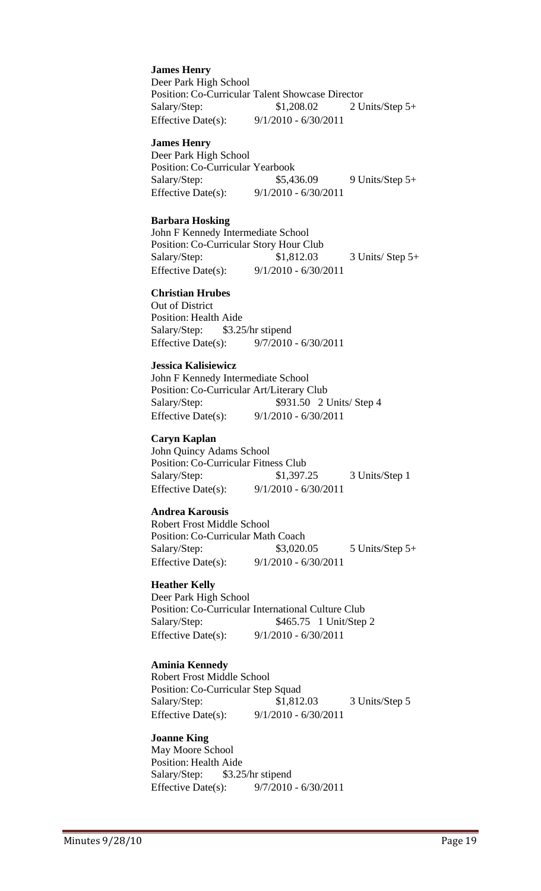**James Henry** Deer Park High School Position: Co-Curricular Talent Showcase Director Salary/Step: \$1,208.02 2 Units/Step 5+ Effective Date(s): 9/1/2010 - 6/30/2011

#### **James Henry**

Deer Park High School Position: Co-Curricular Yearbook Salary/Step: \$5,436.09 9 Units/Step 5+ Effective Date(s): 9/1/2010 - 6/30/2011

#### **Barbara Hosking**

John F Kennedy Intermediate School Position: Co-Curricular Story Hour Club Salary/Step: \$1,812.03 3 Units/ Step 5+ Effective Date(s): 9/1/2010 - 6/30/2011

#### **Christian Hrubes**

Out of District Position: Health Aide Salary/Step: \$3.25/hr stipend Effective Date(s): 9/7/2010 - 6/30/2011

#### **Jessica Kalisiewicz**

John F Kennedy Intermediate School Position: Co-Curricular Art/Literary Club Salary/Step:  $$931.50$  2 Units/Step 4 Effective Date(s): 9/1/2010 - 6/30/2011

#### **Caryn Kaplan**

John Quincy Adams School Position: Co-Curricular Fitness Club Salary/Step: \$1,397.25 3 Units/Step 1 Effective Date(s): 9/1/2010 - 6/30/2011

#### **Andrea Karousis**

Robert Frost Middle School Position: Co-Curricular Math Coach Salary/Step: \$3,020.05 5 Units/Step 5+ Effective Date(s): 9/1/2010 - 6/30/2011

#### **Heather Kelly**

Deer Park High School Position: Co-Curricular International Culture Club Salary/Step: \$465.75 1 Unit/Step 2 Effective Date(s): 9/1/2010 - 6/30/2011

#### **Aminia Kennedy**

Robert Frost Middle School Position: Co-Curricular Step Squad Salary/Step: \$1,812.03 3 Units/Step 5 Effective Date(s): 9/1/2010 - 6/30/2011

#### **Joanne King**

May Moore School Position: Health Aide Salary/Step: \$3.25/hr stipend Effective Date(s): 9/7/2010 - 6/30/2011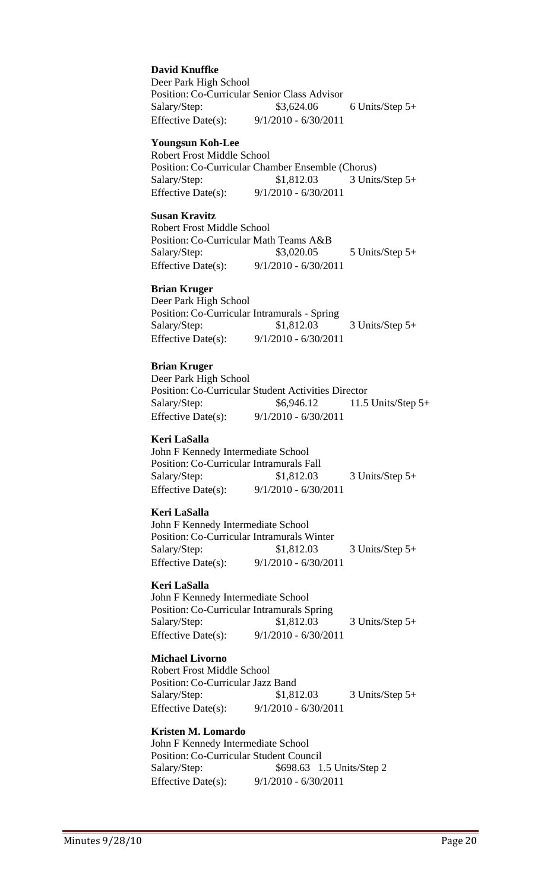#### **David Knuffke**

Deer Park High School Position: Co-Curricular Senior Class Advisor Salary/Step: \$3,624.06 6 Units/Step 5+ Effective Date(s): 9/1/2010 - 6/30/2011

#### **Youngsun Koh-Lee**

Robert Frost Middle School Position: Co-Curricular Chamber Ensemble (Chorus) Salary/Step: \$1,812.03 3 Units/Step 5+ Effective Date(s): 9/1/2010 - 6/30/2011

#### **Susan Kravitz**

Robert Frost Middle School Position: Co-Curricular Math Teams A&B Salary/Step: \$3,020.05 5 Units/Step 5+ Effective Date(s): 9/1/2010 - 6/30/2011

#### **Brian Kruger**

Deer Park High School Position: Co-Curricular Intramurals - Spring Salary/Step: \$1,812.03 3 Units/Step 5+ Effective Date(s): 9/1/2010 - 6/30/2011

#### **Brian Kruger**

Deer Park High School Position: Co-Curricular Student Activities Director Salary/Step: \$6,946.12 11.5 Units/Step 5+ Effective Date(s): 9/1/2010 - 6/30/2011

#### **Keri LaSalla**

John F Kennedy Intermediate School Position: Co-Curricular Intramurals Fall Salary/Step: \$1,812.03 3 Units/Step 5+ Effective Date(s): 9/1/2010 - 6/30/2011

#### **Keri LaSalla**

John F Kennedy Intermediate School Position: Co-Curricular Intramurals Winter Salary/Step: \$1,812.03 3 Units/Step 5+ Effective Date(s): 9/1/2010 - 6/30/2011

#### **Keri LaSalla**

John F Kennedy Intermediate School Position: Co-Curricular Intramurals Spring Salary/Step: \$1,812.03 3 Units/Step 5+ Effective Date(s): 9/1/2010 - 6/30/2011

#### **Michael Livorno**

Robert Frost Middle School Position: Co-Curricular Jazz Band Salary/Step: \$1,812.03 3 Units/Step 5+ Effective Date(s): 9/1/2010 - 6/30/2011

#### **Kristen M. Lomardo**

John F Kennedy Intermediate School Position: Co-Curricular Student Council Salary/Step: \$698.63 1.5 Units/Step 2 Effective Date(s): 9/1/2010 - 6/30/2011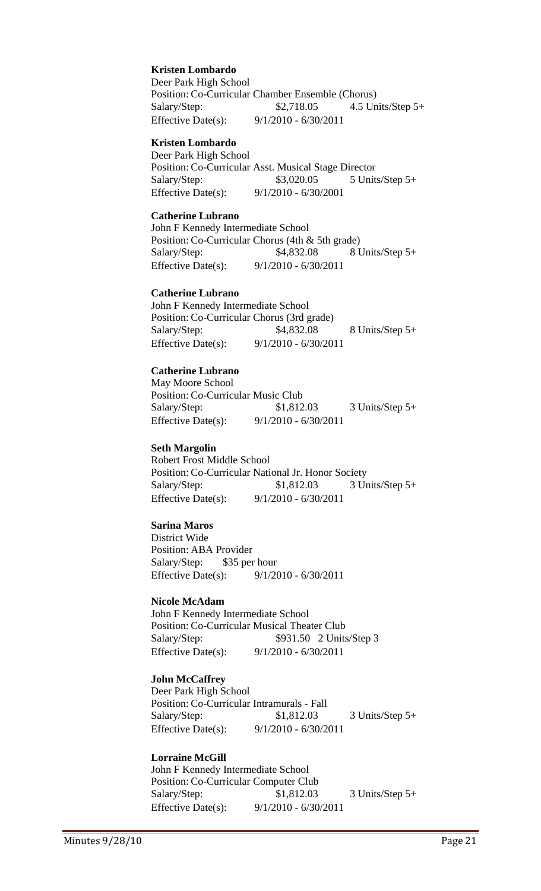#### **Kristen Lombardo**

Deer Park High School Position: Co-Curricular Chamber Ensemble (Chorus) Salary/Step: \$2,718.05 4.5 Units/Step 5+ Effective Date(s): 9/1/2010 - 6/30/2011

#### **Kristen Lombardo**

Deer Park High School Position: Co-Curricular Asst. Musical Stage Director Salary/Step: \$3,020.05 5 Units/Step 5+ Effective Date(s): 9/1/2010 - 6/30/2001

#### **Catherine Lubrano**

John F Kennedy Intermediate School Position: Co-Curricular Chorus (4th & 5th grade) Salary/Step: \$4,832.08 8 Units/Step 5+ Effective Date(s): 9/1/2010 - 6/30/2011

#### **Catherine Lubrano**

John F Kennedy Intermediate School Position: Co-Curricular Chorus (3rd grade) Salary/Step: \$4,832.08 8 Units/Step 5+ Effective Date(s): 9/1/2010 - 6/30/2011

#### **Catherine Lubrano**

May Moore School Position: Co-Curricular Music Club Salary/Step: \$1,812.03 3 Units/Step 5+ Effective Date(s): 9/1/2010 - 6/30/2011

#### **Seth Margolin**

Robert Frost Middle School Position: Co-Curricular National Jr. Honor Society Salary/Step: \$1,812.03 3 Units/Step 5+ Effective Date(s): 9/1/2010 - 6/30/2011

#### **Sarina Maros**

District Wide Position: ABA Provider Salary/Step: \$35 per hour Effective Date(s): 9/1/2010 - 6/30/2011

#### **Nicole McAdam**

John F Kennedy Intermediate School Position: Co-Curricular Musical Theater Club Salary/Step: \$931.50 2 Units/Step 3 Effective Date(s): 9/1/2010 - 6/30/2011

#### **John McCaffrey**

Deer Park High School Position: Co-Curricular Intramurals - Fall Salary/Step: \$1,812.03 3 Units/Step 5+ Effective Date(s): 9/1/2010 - 6/30/2011

#### **Lorraine McGill**

John F Kennedy Intermediate School Position: Co-Curricular Computer Club Salary/Step: \$1,812.03 3 Units/Step 5+ Effective Date(s): 9/1/2010 - 6/30/2011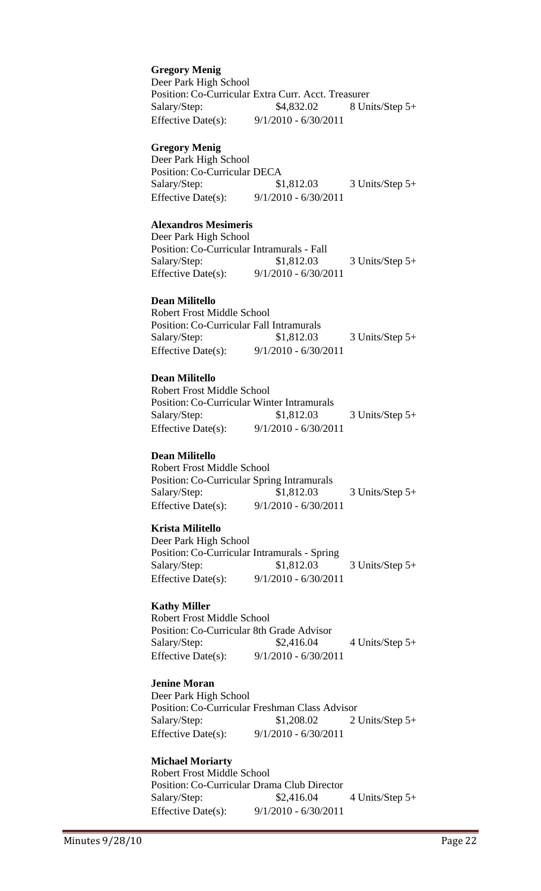**Gregory Menig** Deer Park High School Position: Co-Curricular Extra Curr. Acct. Treasurer Salary/Step: \$4,832.02 8 Units/Step 5+ Effective Date(s): 9/1/2010 - 6/30/2011

#### **Gregory Menig**

Deer Park High School Position: Co-Curricular DECA Salary/Step: \$1,812.03 3 Units/Step 5+ Effective Date(s): 9/1/2010 - 6/30/2011

#### **Alexandros Mesimeris**

Deer Park High School Position: Co-Curricular Intramurals - Fall Salary/Step: \$1,812.03 3 Units/Step 5+ Effective Date(s): 9/1/2010 - 6/30/2011

#### **Dean Militello**

Robert Frost Middle School Position: Co-Curricular Fall Intramurals Salary/Step: \$1,812.03 3 Units/Step 5+ Effective Date(s): 9/1/2010 - 6/30/2011

#### **Dean Militello**

Robert Frost Middle School Position: Co-Curricular Winter Intramurals Salary/Step: \$1,812.03 3 Units/Step 5+ Effective Date(s): 9/1/2010 - 6/30/2011

#### **Dean Militello**

Robert Frost Middle School Position: Co-Curricular Spring Intramurals Salary/Step: \$1,812.03 3 Units/Step 5+ Effective Date(s): 9/1/2010 - 6/30/2011

#### **Krista Militello**

Deer Park High School Position: Co-Curricular Intramurals - Spring Salary/Step: \$1,812.03 3 Units/Step 5+ Effective Date(s): 9/1/2010 - 6/30/2011

#### **Kathy Miller**

Robert Frost Middle School Position: Co-Curricular 8th Grade Advisor Salary/Step: \$2,416.04 4 Units/Step 5+ Effective Date(s): 9/1/2010 - 6/30/2011

#### **Jenine Moran**

Deer Park High School Position: Co-Curricular Freshman Class Advisor Salary/Step: \$1,208.02 2 Units/Step 5+ Effective Date(s): 9/1/2010 - 6/30/2011

#### **Michael Moriarty**

Robert Frost Middle School Position: Co-Curricular Drama Club Director Salary/Step: \$2,416.04 4 Units/Step 5+ Effective Date(s): 9/1/2010 - 6/30/2011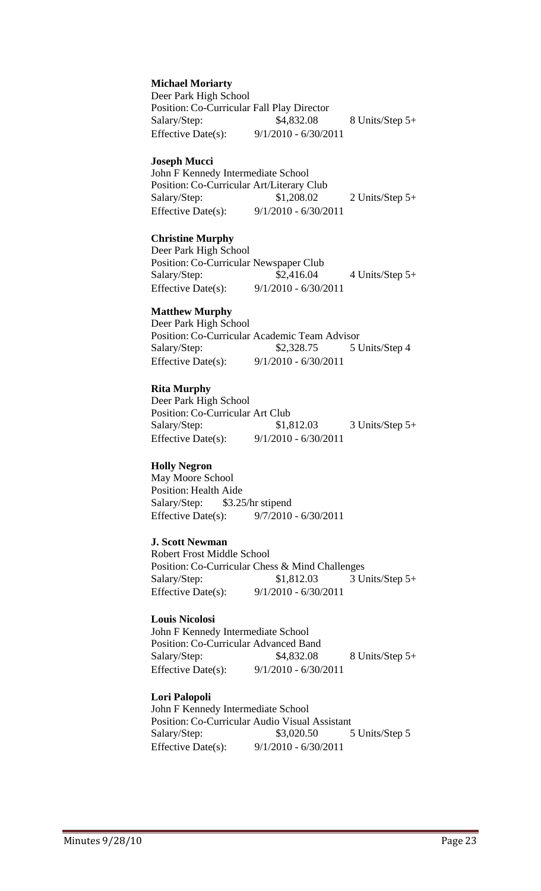**Michael Moriarty**

Deer Park High School Position: Co-Curricular Fall Play Director Salary/Step: \$4,832.08 8 Units/Step 5+ Effective Date(s): 9/1/2010 - 6/30/2011

#### **Joseph Mucci**

John F Kennedy Intermediate School Position: Co-Curricular Art/Literary Club Salary/Step: \$1,208.02 2 Units/Step 5+ Effective Date(s): 9/1/2010 - 6/30/2011

#### **Christine Murphy**

Deer Park High School Position: Co-Curricular Newspaper Club Salary/Step: \$2,416.04 4 Units/Step 5+ Effective Date(s): 9/1/2010 - 6/30/2011

#### **Matthew Murphy**

Deer Park High School Position: Co-Curricular Academic Team Advisor Salary/Step: \$2,328.75 5 Units/Step 4 Effective Date(s): 9/1/2010 - 6/30/2011

#### **Rita Murphy**

Deer Park High School Position: Co-Curricular Art Club Salary/Step: \$1,812.03 3 Units/Step 5+ Effective Date(s): 9/1/2010 - 6/30/2011

#### **Holly Negron**

May Moore School Position: Health Aide Salary/Step: \$3.25/hr stipend Effective Date(s): 9/7/2010 - 6/30/2011

#### **J. Scott Newman**

Robert Frost Middle School Position: Co-Curricular Chess & Mind Challenges Salary/Step: \$1,812.03 3 Units/Step 5+ Effective Date(s): 9/1/2010 - 6/30/2011

#### **Louis Nicolosi**

John F Kennedy Intermediate School Position: Co-Curricular Advanced Band Salary/Step: \$4,832.08 8 Units/Step 5+ Effective Date(s): 9/1/2010 - 6/30/2011

#### **Lori Palopoli**

John F Kennedy Intermediate School Position: Co-Curricular Audio Visual Assistant Salary/Step: \$3,020.50 5 Units/Step 5 Effective Date(s): 9/1/2010 - 6/30/2011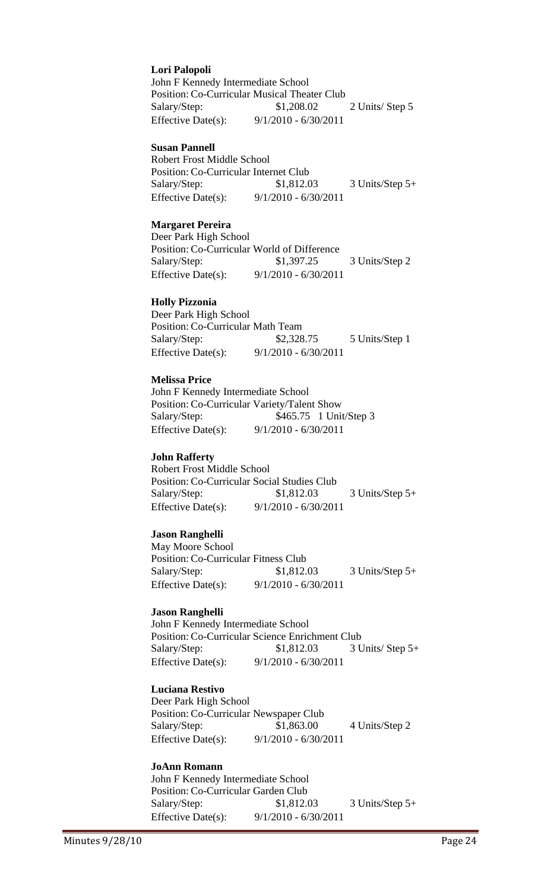#### **Lori Palopoli**

John F Kennedy Intermediate School Position: Co-Curricular Musical Theater Club Salary/Step: \$1,208.02 2 Units/ Step 5 Effective Date(s): 9/1/2010 - 6/30/2011

#### **Susan Pannell**

Robert Frost Middle School Position: Co-Curricular Internet Club Salary/Step: \$1,812.03 3 Units/Step 5+ Effective Date(s): 9/1/2010 - 6/30/2011

#### **Margaret Pereira**

Deer Park High School Position: Co-Curricular World of Difference Salary/Step: \$1,397.25 3 Units/Step 2 Effective Date(s): 9/1/2010 - 6/30/2011

#### **Holly Pizzonia**

Deer Park High School Position: Co-Curricular Math Team Salary/Step: \$2,328.75 5 Units/Step 1 Effective Date(s): 9/1/2010 - 6/30/2011

#### **Melissa Price**

John F Kennedy Intermediate School Position: Co-Curricular Variety/Talent Show Salary/Step: \$465.75 1 Unit/Step 3 Effective Date(s): 9/1/2010 - 6/30/2011

#### **John Rafferty**

Robert Frost Middle School Position: Co-Curricular Social Studies Club Salary/Step: \$1,812.03 3 Units/Step 5+ Effective Date(s): 9/1/2010 - 6/30/2011

#### **Jason Ranghelli**

May Moore School Position: Co-Curricular Fitness Club Salary/Step: \$1,812.03 3 Units/Step 5+ Effective Date(s): 9/1/2010 - 6/30/2011

#### **Jason Ranghelli**

John F Kennedy Intermediate School Position: Co-Curricular Science Enrichment Club Salary/Step: \$1,812.03 3 Units/ Step 5+ Effective Date(s): 9/1/2010 - 6/30/2011

#### **Luciana Restivo**

Deer Park High School Position: Co-Curricular Newspaper Club Salary/Step: \$1,863.00 4 Units/Step 2 Effective Date(s): 9/1/2010 - 6/30/2011

#### **JoAnn Romann**

John F Kennedy Intermediate School Position: Co-Curricular Garden Club Salary/Step: \$1,812.03 3 Units/Step 5+ Effective Date(s): 9/1/2010 - 6/30/2011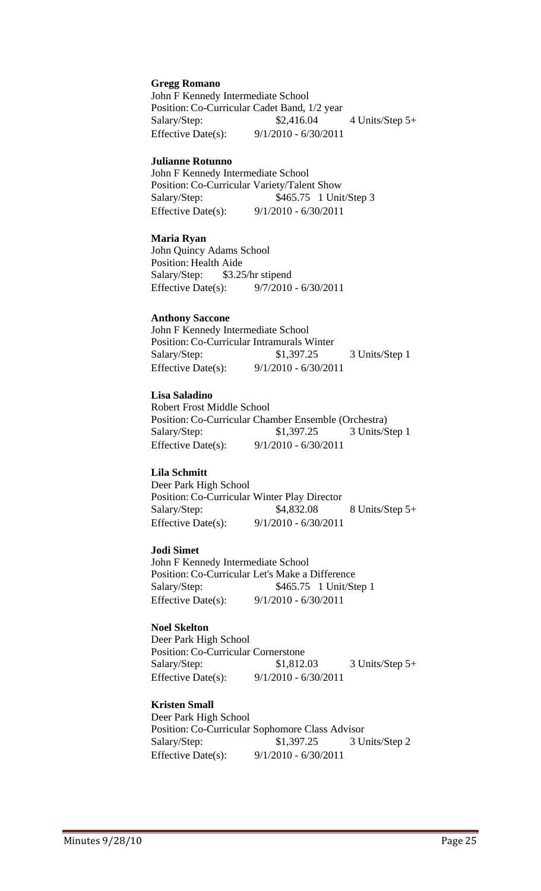#### **Gregg Romano**

John F Kennedy Intermediate School Position: Co-Curricular Cadet Band, 1/2 year Salary/Step: \$2,416.04 4 Units/Step 5+ Effective Date(s): 9/1/2010 - 6/30/2011

#### **Julianne Rotunno**

John F Kennedy Intermediate School Position: Co-Curricular Variety/Talent Show Salary/Step: \$465.75 1 Unit/Step 3 Effective Date(s): 9/1/2010 - 6/30/2011

#### **Maria Ryan**

John Quincy Adams School Position: Health Aide Salary/Step: \$3.25/hr stipend Effective Date(s): 9/7/2010 - 6/30/2011

#### **Anthony Saccone**

John F Kennedy Intermediate School Position: Co-Curricular Intramurals Winter Salary/Step: \$1,397.25 3 Units/Step 1 Effective Date(s): 9/1/2010 - 6/30/2011

#### **Lisa Saladino**

Robert Frost Middle School Position: Co-Curricular Chamber Ensemble (Orchestra) Salary/Step: \$1,397.25 3 Units/Step 1 Effective Date(s): 9/1/2010 - 6/30/2011

#### **Lila Schmitt**

Deer Park High School Position: Co-Curricular Winter Play Director Salary/Step: \$4,832.08 8 Units/Step 5+ Effective Date(s): 9/1/2010 - 6/30/2011

#### **Jodi Simet**

John F Kennedy Intermediate School Position: Co-Curricular Let's Make a Difference Salary/Step: \$465.75 1 Unit/Step 1 Effective Date(s): 9/1/2010 - 6/30/2011

#### **Noel Skelton**

Deer Park High School Position: Co-Curricular Cornerstone Salary/Step: \$1,812.03 3 Units/Step 5+ Effective Date(s): 9/1/2010 - 6/30/2011

#### **Kristen Small**

Deer Park High School Position: Co-Curricular Sophomore Class Advisor Salary/Step: \$1,397.25 3 Units/Step 2 Effective Date(s): 9/1/2010 - 6/30/2011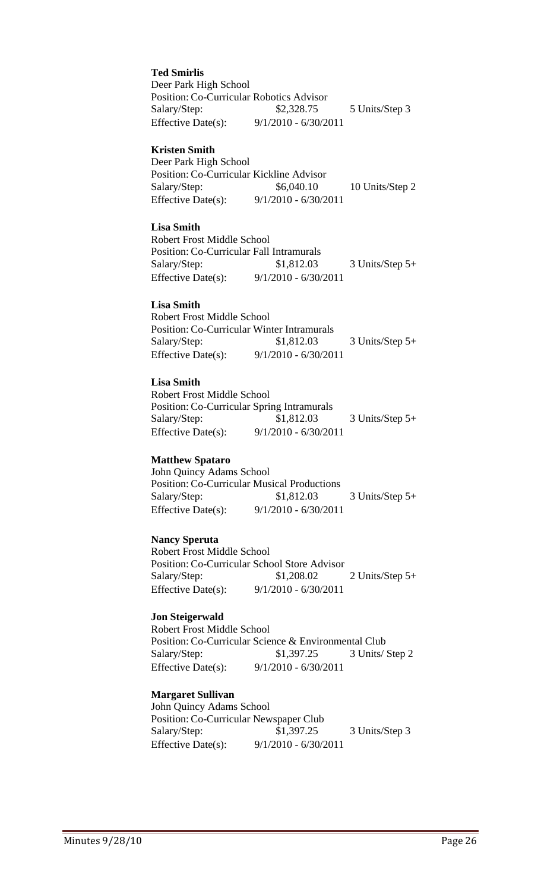**Ted Smirlis** Deer Park High School Position: Co-Curricular Robotics Advisor Salary/Step: \$2,328.75 5 Units/Step 3 Effective Date(s): 9/1/2010 - 6/30/2011

#### **Kristen Smith**

Deer Park High School Position: Co-Curricular Kickline Advisor Salary/Step: \$6,040.10 10 Units/Step 2 Effective Date(s): 9/1/2010 - 6/30/2011

#### **Lisa Smith**

Robert Frost Middle School Position: Co-Curricular Fall Intramurals Salary/Step: \$1,812.03 3 Units/Step 5+ Effective Date(s): 9/1/2010 - 6/30/2011

#### **Lisa Smith**

Robert Frost Middle School Position: Co-Curricular Winter Intramurals Salary/Step: \$1,812.03 3 Units/Step 5+ Effective Date(s): 9/1/2010 - 6/30/2011

#### **Lisa Smith**

Robert Frost Middle School Position: Co-Curricular Spring Intramurals Salary/Step: \$1,812.03 3 Units/Step 5+ Effective Date(s): 9/1/2010 - 6/30/2011

#### **Matthew Spataro**

John Quincy Adams School Position: Co-Curricular Musical Productions Salary/Step: \$1,812.03 3 Units/Step 5+ Effective Date(s): 9/1/2010 - 6/30/2011

#### **Nancy Speruta**

Robert Frost Middle School Position: Co-Curricular School Store Advisor Salary/Step: \$1,208.02 2 Units/Step 5+ Effective Date(s): 9/1/2010 - 6/30/2011

#### **Jon Steigerwald**

Robert Frost Middle School Position: Co-Curricular Science & Environmental Club Salary/Step: \$1,397.25 3 Units/ Step 2 Effective Date(s): 9/1/2010 - 6/30/2011

#### **Margaret Sullivan**

John Quincy Adams School Position: Co-Curricular Newspaper Club Salary/Step: \$1,397.25 3 Units/Step 3 Effective Date(s): 9/1/2010 - 6/30/2011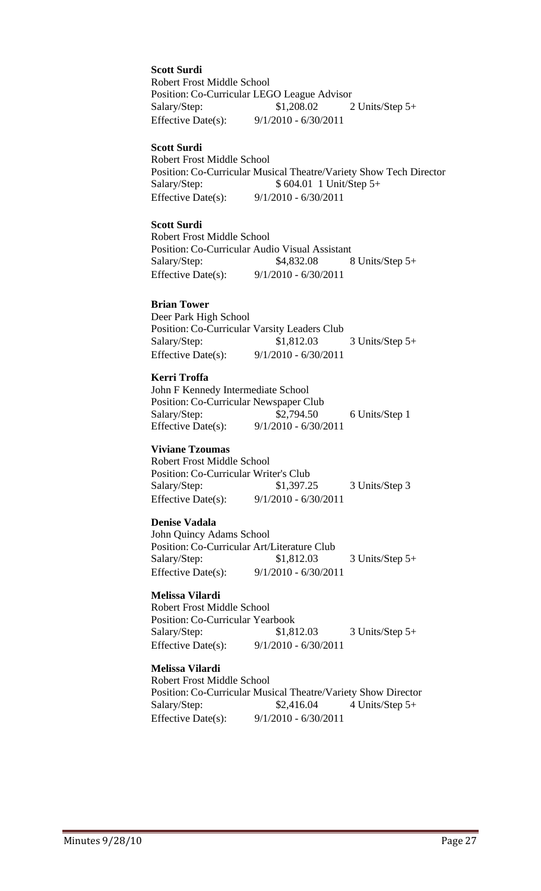**Scott Surdi**

Robert Frost Middle School Position: Co-Curricular LEGO League Advisor Salary/Step: \$1,208.02 2 Units/Step 5+ Effective Date(s): 9/1/2010 - 6/30/2011

#### **Scott Surdi**

Robert Frost Middle School Position: Co-Curricular Musical Theatre/Variety Show Tech Director Salary/Step: \$ 604.01 1 Unit/Step 5+ Effective Date(s): 9/1/2010 - 6/30/2011

#### **Scott Surdi**

Robert Frost Middle School Position: Co-Curricular Audio Visual Assistant Salary/Step: \$4,832.08 8 Units/Step 5+ Effective Date(s): 9/1/2010 - 6/30/2011

#### **Brian Tower**

Deer Park High School Position: Co-Curricular Varsity Leaders Club Salary/Step: \$1,812.03 3 Units/Step 5+ Effective Date(s): 9/1/2010 - 6/30/2011

#### **Kerri Troffa**

John F Kennedy Intermediate School Position: Co-Curricular Newspaper Club Salary/Step: \$2,794.50 6 Units/Step 1 Effective Date(s): 9/1/2010 - 6/30/2011

#### **Viviane Tzoumas**

Robert Frost Middle School Position: Co-Curricular Writer's Club Salary/Step: \$1,397.25 3 Units/Step 3 Effective Date(s): 9/1/2010 - 6/30/2011

#### **Denise Vadala**

John Quincy Adams School Position: Co-Curricular Art/Literature Club Salary/Step: \$1,812.03 3 Units/Step 5+ Effective Date(s): 9/1/2010 - 6/30/2011

#### **Melissa Vilardi**

Robert Frost Middle School Position: Co-Curricular Yearbook Salary/Step: \$1,812.03 3 Units/Step 5+ Effective Date(s): 9/1/2010 - 6/30/2011

#### **Melissa Vilardi**

Robert Frost Middle School Position: Co-Curricular Musical Theatre/Variety Show Director Salary/Step:  $$2,416.04$  4 Units/Step 5+ Effective Date(s): 9/1/2010 - 6/30/2011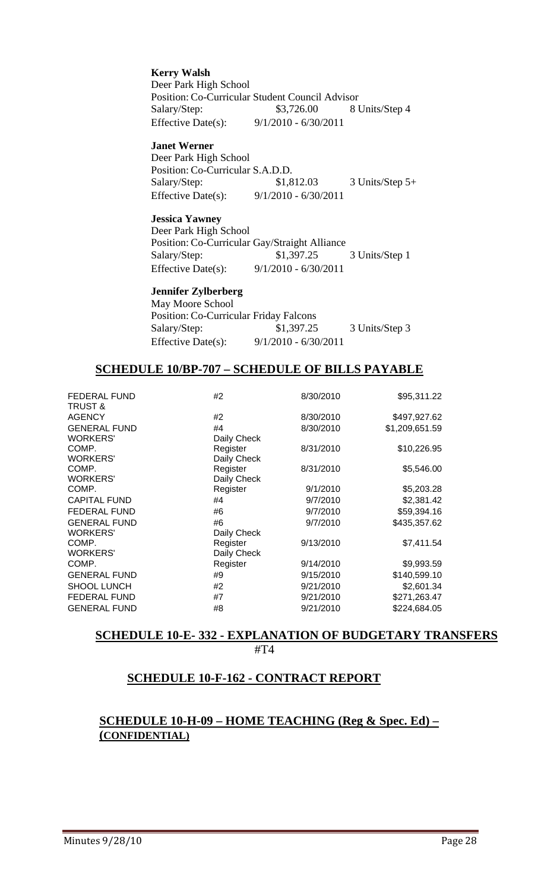**Kerry Walsh** Deer Park High School Position: Co-Curricular Student Council Advisor Salary/Step: \$3,726.00 8 Units/Step 4 Effective Date(s): 9/1/2010 - 6/30/2011

#### **Janet Werner**

Deer Park High School Position: Co-Curricular S.A.D.D. Salary/Step: \$1,812.03 3 Units/Step 5+ Effective Date(s): 9/1/2010 - 6/30/2011

#### **Jessica Yawney**

Deer Park High School Position: Co-Curricular Gay/Straight Alliance Salary/Step: \$1,397.25 3 Units/Step 1 Effective Date(s): 9/1/2010 - 6/30/2011

#### **Jennifer Zylberberg**

May Moore School Position: Co-Curricular Friday Falcons Salary/Step: \$1,397.25 3 Units/Step 3 Effective Date(s): 9/1/2010 - 6/30/2011

# **SCHEDULE 10/BP-707 – SCHEDULE OF BILLS PAYABLE**

| <b>FEDERAL FUND</b><br>TRUST & | #2          | 8/30/2010 | \$95,311.22    |
|--------------------------------|-------------|-----------|----------------|
| <b>AGENCY</b>                  | #2          | 8/30/2010 | \$497,927.62   |
| <b>GENERAL FUND</b>            | #4          | 8/30/2010 | \$1,209,651.59 |
| <b>WORKERS'</b>                | Daily Check |           |                |
| COMP.                          | Register    | 8/31/2010 | \$10,226.95    |
| <b>WORKERS'</b>                | Daily Check |           |                |
| COMP.                          | Register    | 8/31/2010 | \$5,546.00     |
| <b>WORKERS'</b>                | Daily Check |           |                |
| COMP.                          | Register    | 9/1/2010  | \$5,203.28     |
| <b>CAPITAL FUND</b>            | #4          | 9/7/2010  | \$2,381.42     |
| <b>FEDERAL FUND</b>            | #6          | 9/7/2010  | \$59,394.16    |
| <b>GENERAL FUND</b>            | #6          | 9/7/2010  | \$435,357.62   |
| <b>WORKERS'</b>                | Daily Check |           |                |
| COMP.                          | Register    | 9/13/2010 | \$7,411.54     |
| <b>WORKERS'</b>                | Daily Check |           |                |
| COMP.                          | Register    | 9/14/2010 | \$9,993.59     |
| <b>GENERAL FUND</b>            | #9          | 9/15/2010 | \$140,599.10   |
| <b>SHOOL LUNCH</b>             | #2          | 9/21/2010 | \$2,601.34     |
| <b>FEDERAL FUND</b>            | #7          | 9/21/2010 | \$271,263.47   |
| <b>GENERAL FUND</b>            | #8          | 9/21/2010 | \$224,684.05   |

# **SCHEDULE 10-E- 332 - EXPLANATION OF BUDGETARY TRANSFERS** #T4

# **SCHEDULE 10-F-162 - CONTRACT REPORT**

# **SCHEDULE 10-H-09 – HOME TEACHING (Reg & Spec. Ed) – (CONFIDENTIAL)**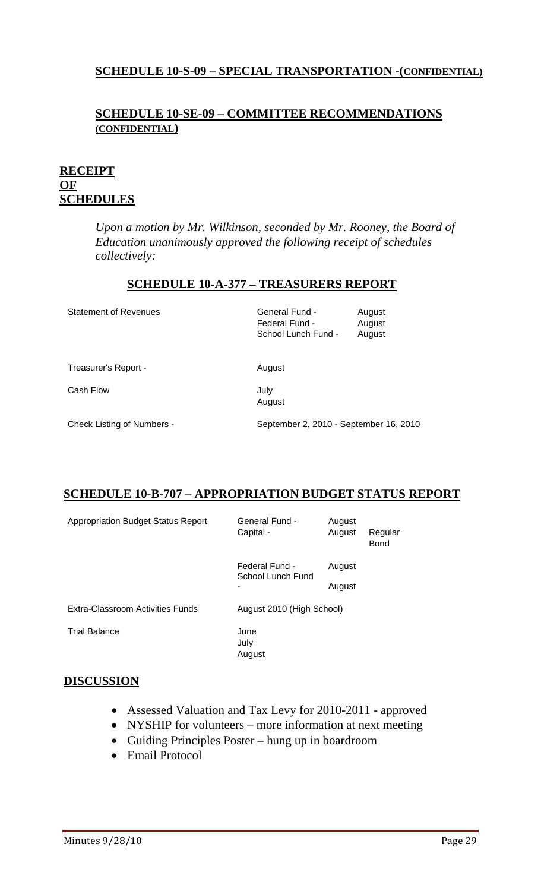# **SCHEDULE 10-S-09 – SPECIAL TRANSPORTATION -(CONFIDENTIAL)**

# **SCHEDULE 10-SE-09 – COMMITTEE RECOMMENDATIONS (CONFIDENTIAL)**

# **RECEIPT OF SCHEDULES**

*Upon a motion by Mr. Wilkinson, seconded by Mr. Rooney, the Board of Education unanimously approved the following receipt of schedules collectively:* 

# **SCHEDULE 10-A-377 – TREASURERS REPORT**

| <b>Statement of Revenues</b>      | General Fund -<br>Federal Fund -<br>School Lunch Fund - | August<br>August<br>August |
|-----------------------------------|---------------------------------------------------------|----------------------------|
| Treasurer's Report -              | August                                                  |                            |
| Cash Flow                         | July<br>August                                          |                            |
| <b>Check Listing of Numbers -</b> | September 2, 2010 - September 16, 2010                  |                            |

# **SCHEDULE 10-B-707 – APPROPRIATION BUDGET STATUS REPORT**

| <b>Appropriation Budget Status Report</b> | General Fund -<br>Capital -         | August<br>August | Regular<br>Bond |
|-------------------------------------------|-------------------------------------|------------------|-----------------|
|                                           | Federal Fund -<br>School Lunch Fund | August           |                 |
|                                           |                                     | August           |                 |
| Extra-Classroom Activities Funds          | August 2010 (High School)           |                  |                 |
| <b>Trial Balance</b>                      | June<br>July<br>August              |                  |                 |

# **DISCUSSION**

- Assessed Valuation and Tax Levy for 2010-2011 approved
- NYSHIP for volunteers more information at next meeting
- Guiding Principles Poster hung up in boardroom
- Email Protocol